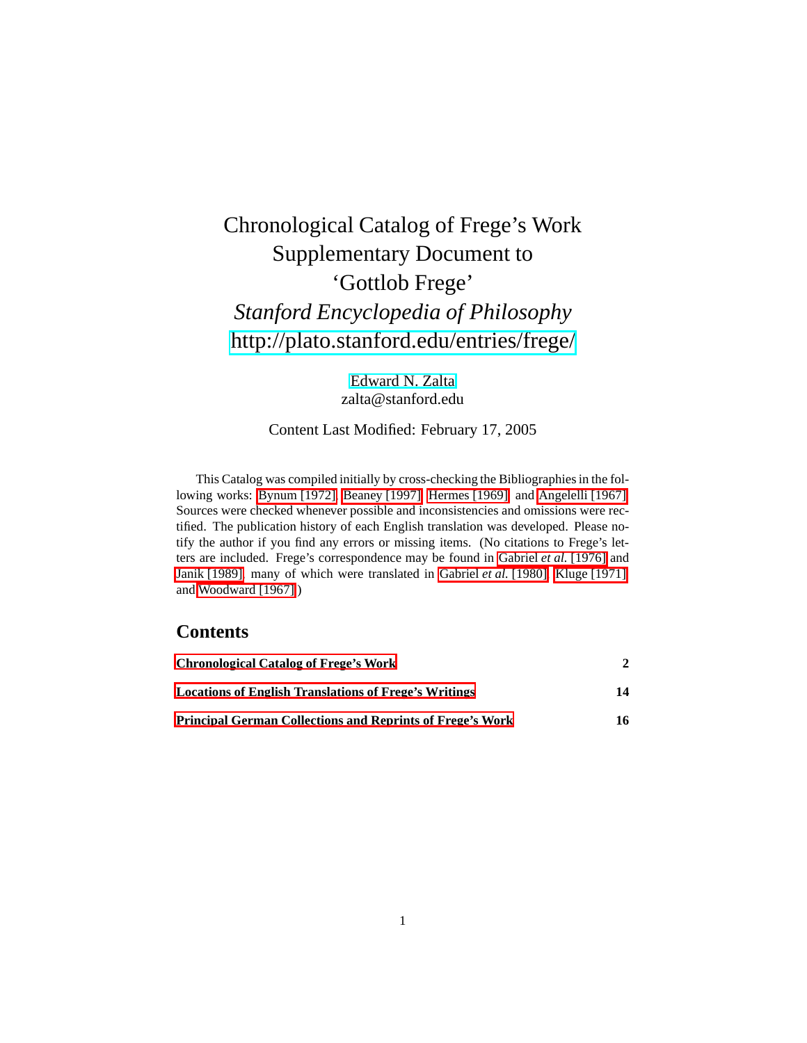# Chronological Catalog of Frege's Work Supplementary Document to 'Gottlob Frege' *Stanford Encyclopedia of Philosophy* <http://plato.stanford.edu/entries/frege/>

[Edward N. Zalta](http://mally.stanford.edu/zalta.html) zalta@stanford.edu

#### Content Last Modified: February 17, 2005

This Catalog was compiled initially by cross-checking the Bibliographies in the following works: [Bynum \[1972\],](#page-13-0) [Beaney \[1997\],](#page-13-1) [Hermes \[1969\],](#page-16-0) and [Angelelli \[1967\].](#page-15-0) Sources were checked whenever possible and inconsistencies and omissions were rectified. The publication history of each English translation was developed. Please notify the author if you find any errors or missing items. (No citations to Frege's letters are included. Frege's correspondence may be found in [Gabriel](#page-16-1) *et al.* [1976] and [Janik \[1989\],](#page-16-2) many of which were translated in [Gabriel](#page-14-0) *et al.* [1980], [Kluge \[1971\],](#page-14-1) and [Woodward \[1967\].](#page-15-1))

## **Contents**

| <b>Chronological Catalog of Frege's Work</b><br><b>Locations of English Translations of Frege's Writings</b><br><b>Principal German Collections and Reprints of Frege's Work</b> | 14 |
|----------------------------------------------------------------------------------------------------------------------------------------------------------------------------------|----|
|                                                                                                                                                                                  |    |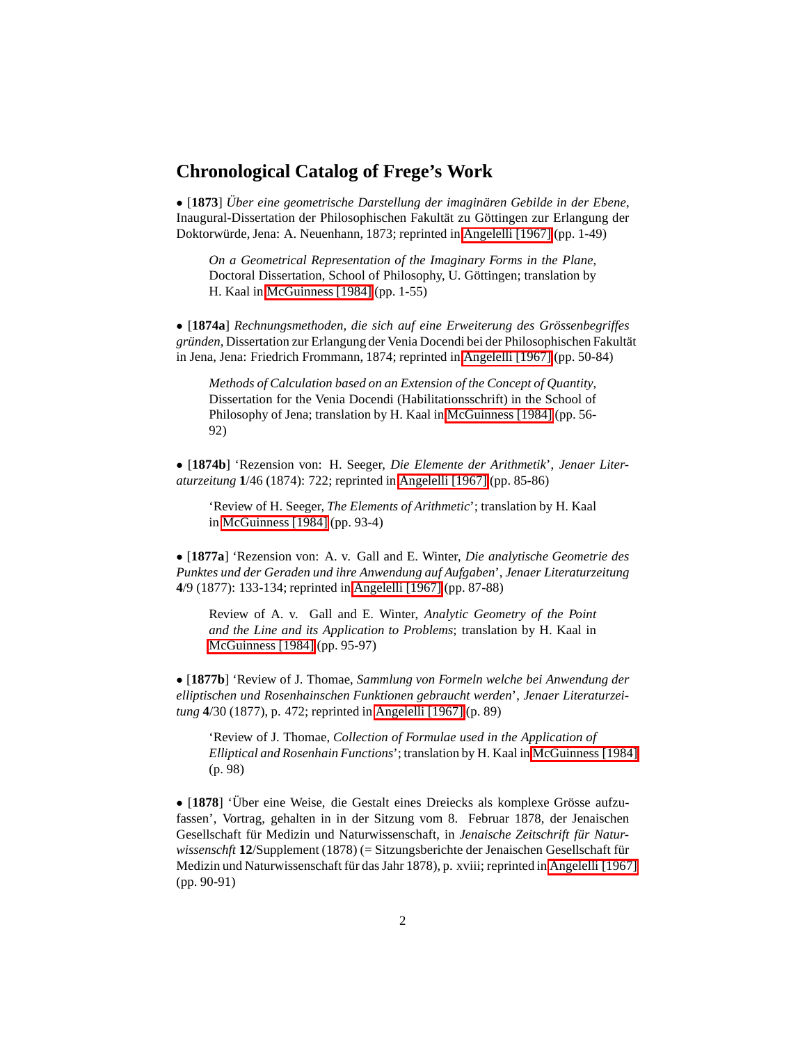#### **Chronological Catalog of Frege's Work**

<span id="page-1-0"></span>• [1873] Über eine geometrische Darstellung der imaginären Gebilde in der Ebene, Inaugural-Dissertation der Philosophischen Fakultät zu Göttingen zur Erlangung der Doktorwürde, Jena: A. Neuenhann, 1873; reprinted in [Angelelli \[1967\]](#page-15-0) (pp. 1-49)

*On a Geometrical Representation of the Imaginary Forms in the Plane*, Doctoral Dissertation, School of Philosophy, U. Göttingen; translation by H. Kaal in [McGuinness \[1984\]](#page-15-3) (pp. 1-55)

• [**1874a**] *Rechnungsmethoden, die sich auf eine Erweiterung des Grossenbegriffes ¨* gründen, Dissertation zur Erlangung der Venia Docendi bei der Philosophischen Fakultät in Jena, Jena: Friedrich Frommann, 1874; reprinted in [Angelelli \[1967\]](#page-15-0) (pp. 50-84)

*Methods of Calculation based on an Extension of the Concept of Quantity*, Dissertation for the Venia Docendi (Habilitationsschrift) in the School of Philosophy of Jena; translation by H. Kaal in [McGuinness \[1984\]](#page-15-3) (pp. 56- 92)

• [**1874b**] 'Rezension von: H. Seeger, *Die Elemente der Arithmetik*', *Jenaer Literaturzeitung* **1**/46 (1874): 722; reprinted in [Angelelli \[1967\]](#page-15-0) (pp. 85-86)

'Review of H. Seeger, *The Elements of Arithmetic*'; translation by H. Kaal in [McGuinness \[1984\]](#page-15-3) (pp. 93-4)

• [**1877a**] 'Rezension von: A. v. Gall and E. Winter, *Die analytische Geometrie des Punktes und der Geraden und ihre Anwendung auf Aufgaben*', *Jenaer Literaturzeitung* **4**/9 (1877): 133-134; reprinted in [Angelelli \[1967\]](#page-15-0) (pp. 87-88)

Review of A. v. Gall and E. Winter, *Analytic Geometry of the Point and the Line and its Application to Problems*; translation by H. Kaal in [McGuinness \[1984\]](#page-15-3) (pp. 95-97)

• [**1877b**] 'Review of J. Thomae, *Sammlung von Formeln welche bei Anwendung der elliptischen und Rosenhainschen Funktionen gebraucht werden*', *Jenaer Literaturzeitung* **4**/30 (1877), p. 472; reprinted in [Angelelli \[1967\]](#page-15-0) (p. 89)

'Review of J. Thomae, *Collection of Formulae used in the Application of Elliptical and Rosenhain Functions*'; translation by H. Kaal in [McGuinness \[1984\]](#page-15-3) (p. 98)

• [1878] 'Über eine Weise, die Gestalt eines Dreiecks als komplexe Grösse aufzufassen', Vortrag, gehalten in in der Sitzung vom 8. Februar 1878, der Jenaischen Gesellschaft für Medizin und Naturwissenschaft, in *Jenaische Zeitschrift für Naturwissenschft* **12**/Supplement (1878) (= Sitzungsberichte der Jenaischen Gesellschaft für Medizin und Naturwissenschaft für das Jahr 1878), p. xviii; reprinted in [Angelelli \[1967\]](#page-15-0) (pp. 90-91)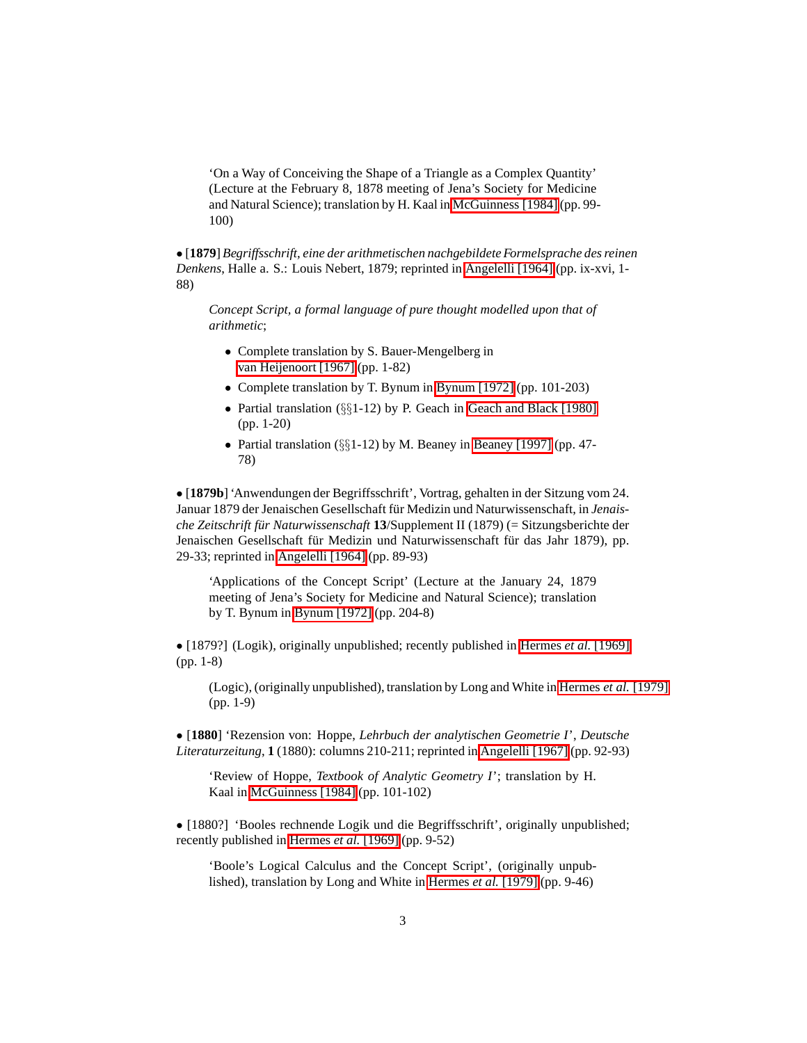'On a Way of Conceiving the Shape of a Triangle as a Complex Quantity' (Lecture at the February 8, 1878 meeting of Jena's Society for Medicine and Natural Science); translation by H. Kaal in [McGuinness \[1984\]](#page-15-3) (pp. 99- 100)

<span id="page-2-0"></span>• [**1879**] *Begriffsschrift, eine der arithmetischen nachgebildete Formelsprache des reinen Denkens*, Halle a. S.: Louis Nebert, 1879; reprinted in [Angelelli \[1964\]](#page-15-4) (pp. ix-xvi, 1- 88)

*Concept Script, a formal language of pure thought modelled upon that of arithmetic*;

- Complete translation by S. Bauer-Mengelberg in [van Heijenoort \[1967\]](#page-14-2) (pp. 1-82)
- Complete translation by T. Bynum in [Bynum \[1972\]](#page-13-0) (pp. 101-203)
- Partial translation (§§1-12) by P. Geach in [Geach and Black \[1980\]](#page-14-3) (pp. 1-20)
- Partial translation (§§1-12) by M. Beaney in [Beaney \[1997\]](#page-13-1) (pp. 47- 78)

• [**1879b**] 'Anwendungen der Begriffsschrift', Vortrag, gehalten in der Sitzung vom 24. Januar 1879 der Jenaischen Gesellschaft für Medizin und Naturwissenschaft, in *Jenaische Zeitschrift fur Naturwissenschaft ¨* **13**/Supplement II (1879) (= Sitzungsberichte der Jenaischen Gesellschaft für Medizin und Naturwissenschaft für das Jahr 1879), pp. 29-33; reprinted in [Angelelli \[1964\]](#page-15-4) (pp. 89-93)

'Applications of the Concept Script' (Lecture at the January 24, 1879 meeting of Jena's Society for Medicine and Natural Science); translation by T. Bynum in [Bynum \[1972\]](#page-13-0) (pp. 204-8)

• [1879?] (Logik), originally unpublished; recently published in [Hermes](#page-16-0) *et al.* [1969] (pp. 1-8)

(Logic), (originally unpublished), translation by Long and White in [Hermes](#page-14-4) *et al.* [1979] (pp. 1-9)

• [**1880**] 'Rezension von: Hoppe, *Lehrbuch der analytischen Geometrie I*', *Deutsche Literaturzeitung*, **1** (1880): columns 210-211; reprinted in [Angelelli \[1967\]](#page-15-0) (pp. 92-93)

'Review of Hoppe, *Textbook of Analytic Geometry I*'; translation by H. Kaal in [McGuinness \[1984\]](#page-15-3) (pp. 101-102)

• [1880?] 'Booles rechnende Logik und die Begriffsschrift', originally unpublished; recently published in [Hermes](#page-16-0) *et al.* [1969] (pp. 9-52)

'Boole's Logical Calculus and the Concept Script', (originally unpublished), translation by Long and White in [Hermes](#page-14-4) *et al.* [1979] (pp. 9-46)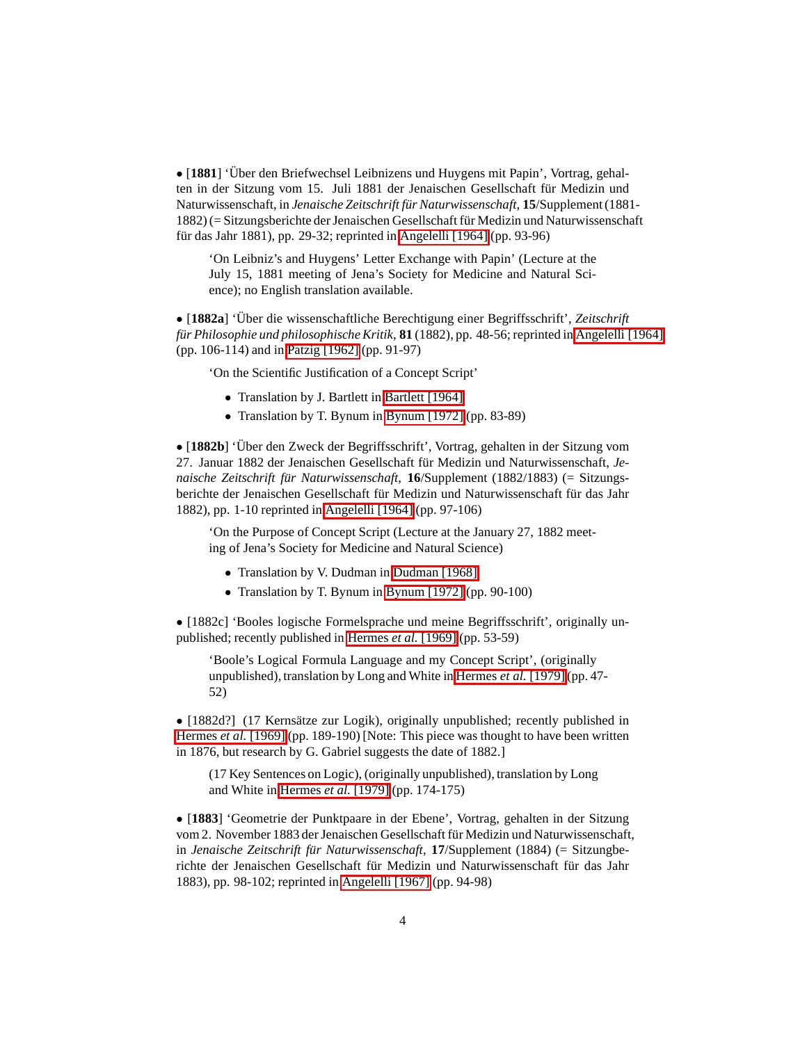• [1881] 'Über den Briefwechsel Leibnizens und Huygens mit Papin', Vortrag, gehalten in der Sitzung vom 15. Juli 1881 der Jenaischen Gesellschaft für Medizin und Naturwissenschaft, in *Jenaische Zeitschrift fur Naturwissenschaft ¨* , **15**/Supplement (1881- 1882) (= Sitzungsberichte der Jenaischen Gesellschaft für Medizin und Naturwissenschaft für das Jahr 1881), pp. 29-32; reprinted in [Angelelli \[1964\]](#page-15-4) (pp. 93-96)

'On Leibniz's and Huygens' Letter Exchange with Papin' (Lecture at the July 15, 1881 meeting of Jena's Society for Medicine and Natural Science); no English translation available.

• [1882a] 'Über die wissenschaftliche Berechtigung einer Begriffsschrift', Zeitschrift *für Philosophie und philosophische Kritik*, **81** (1882), pp. 48-56; reprinted in [Angelelli \[1964\]](#page-15-4) (pp. 106-114) and in [Patzig \[1962\]](#page-16-3) (pp. 91-97)

'On the Scientific Justification of a Concept Script'

- Translation by J. Bartlett in [Bartlett \[1964\]](#page-13-3)
- Translation by T. Bynum in [Bynum \[1972\]](#page-13-0) (pp. 83-89)

• [1882b] 'Über den Zweck der Begriffsschrift', Vortrag, gehalten in der Sitzung vom 27. Januar 1882 der Jenaischen Gesellschaft für Medizin und Naturwissenschaft, Je*naische Zeitschrift für Naturwissenschaft*, 16/Supplement (1882/1883) (= Sitzungsberichte der Jenaischen Gesellschaft für Medizin und Naturwissenschaft für das Jahr 1882), pp. 1-10 reprinted in [Angelelli \[1964\]](#page-15-4) (pp. 97-106)

'On the Purpose of Concept Script (Lecture at the January 27, 1882 meeting of Jena's Society for Medicine and Natural Science)

- Translation by V. Dudman in [Dudman \[1968\]](#page-14-5)
- Translation by T. Bynum in [Bynum \[1972\]](#page-13-0) (pp. 90-100)

• [1882c] 'Booles logische Formelsprache und meine Begriffsschrift', originally unpublished; recently published in [Hermes](#page-16-0) *et al.* [1969] (pp. 53-59)

'Boole's Logical Formula Language and my Concept Script', (originally unpublished), translation by Long and White in [Hermes](#page-14-4) *et al.* [1979] (pp. 47- 52)

• [1882d?] (17 Kernsätze zur Logik), originally unpublished; recently published in [Hermes](#page-16-0) *et al.* [1969] (pp. 189-190) [Note: This piece was thought to have been written in 1876, but research by G. Gabriel suggests the date of 1882.]

(17 Key Sentences on Logic), (originally unpublished), translation by Long and White in [Hermes](#page-14-4) *et al.* [1979] (pp. 174-175)

• [**1883**] 'Geometrie der Punktpaare in der Ebene', Vortrag, gehalten in der Sitzung vom 2. November 1883 der Jenaischen Gesellschaft für Medizin und Naturwissenschaft, in *Jenaische Zeitschrift für Naturwissenschaft*, 17/Supplement (1884) (= Sitzungberichte der Jenaischen Gesellschaft für Medizin und Naturwissenschaft für das Jahr 1883), pp. 98-102; reprinted in [Angelelli \[1967\]](#page-15-0) (pp. 94-98)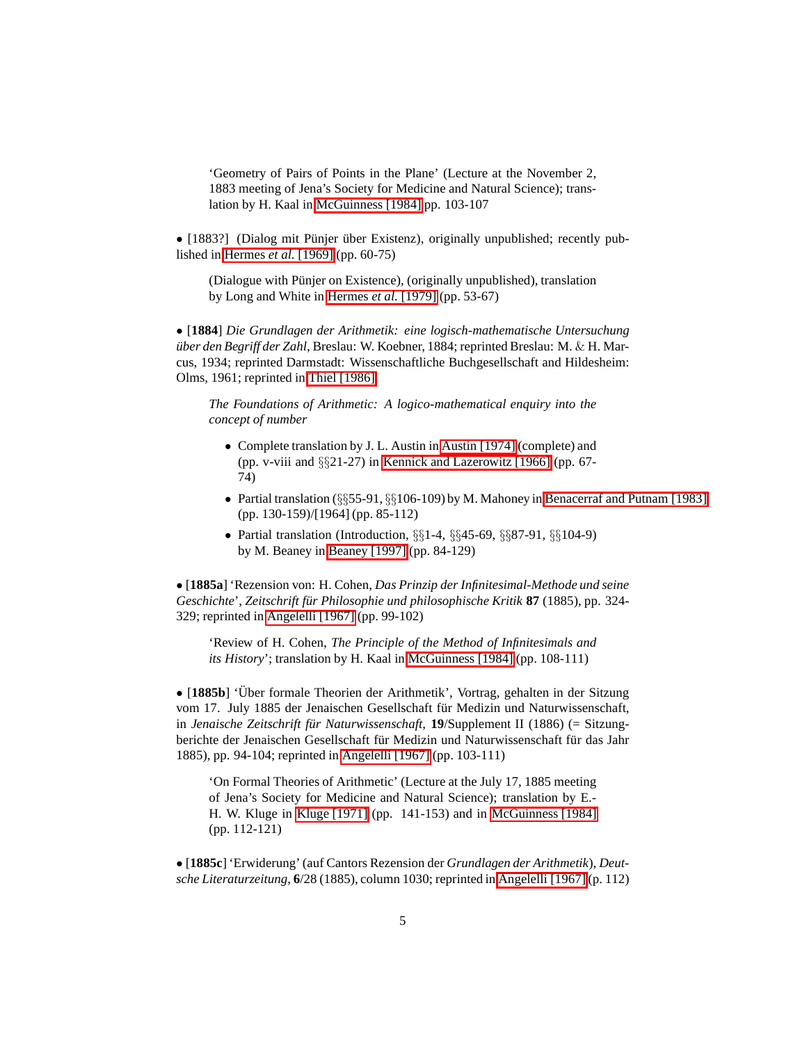'Geometry of Pairs of Points in the Plane' (Lecture at the November 2, 1883 meeting of Jena's Society for Medicine and Natural Science); translation by H. Kaal in [McGuinness \[1984\]](#page-15-3) pp. 103-107

• [1883?] (Dialog mit Pünjer über Existenz), originally unpublished; recently published in [Hermes](#page-16-0) *et al.* [1969] (pp. 60-75)

(Dialogue with Pünjer on Existence), (originally unpublished), translation by Long and White in [Hermes](#page-14-4) *et al.* [1979] (pp. 53-67)

<span id="page-4-0"></span>• [**1884**] *Die Grundlagen der Arithmetik: eine logisch-mathematische Untersuchung über den Begriff der Zahl*, Breslau: W. Koebner, 1884; reprinted Breslau: M. & H. Marcus, 1934; reprinted Darmstadt: Wissenschaftliche Buchgesellschaft and Hildesheim: Olms, 1961; reprinted in [Thiel \[1986\]](#page-16-4)

*The Foundations of Arithmetic: A logico-mathematical enquiry into the concept of number*

- Complete translation by J. L. Austin in [Austin \[1974\]](#page-13-4) (complete) and (pp. v-viii and §§21-27) in [Kennick and Lazerowitz \[1966\]](#page-14-6) (pp. 67- 74)
- Partial translation  $(\S_{5}$ 55-91,  $\S_{5}$ 106-109) by M. Mahoney in [Benacerraf and Putnam \[1983\]](#page-13-5) (pp. 130-159)/[1964] (pp. 85-112)
- Partial translation (Introduction, §§1-4, §§45-69, §§87-91, §§104-9) by M. Beaney in [Beaney \[1997\]](#page-13-1) (pp. 84-129)

• [**1885a**] 'Rezension von: H. Cohen, *Das Prinzip der Infinitesimal-Methode und seine Geschichte', Zeitschrift für Philosophie und philosophische Kritik 87 (1885), pp. 324-*329; reprinted in [Angelelli \[1967\]](#page-15-0) (pp. 99-102)

'Review of H. Cohen, *The Principle of the Method of Infinitesimals and its History*'; translation by H. Kaal in [McGuinness \[1984\]](#page-15-3) (pp. 108-111)

• [1885b] 'Über formale Theorien der Arithmetik', Vortrag, gehalten in der Sitzung vom 17. July 1885 der Jenaischen Gesellschaft für Medizin und Naturwissenschaft, in *Jenaische Zeitschrift für Naturwissenschaft*, 19/Supplement II (1886) (= Sitzungberichte der Jenaischen Gesellschaft für Medizin und Naturwissenschaft für das Jahr 1885), pp. 94-104; reprinted in [Angelelli \[1967\]](#page-15-0) (pp. 103-111)

'On Formal Theories of Arithmetic' (Lecture at the July 17, 1885 meeting of Jena's Society for Medicine and Natural Science); translation by E.- H. W. Kluge in [Kluge \[1971\]](#page-14-1) (pp. 141-153) and in [McGuinness \[1984\]](#page-15-3) (pp. 112-121)

• [**1885c**] 'Erwiderung' (auf Cantors Rezension der *Grundlagen der Arithmetik*), *Deutsche Literaturzeitung*, **6**/28 (1885), column 1030; reprinted in [Angelelli \[1967\]](#page-15-0) (p. 112)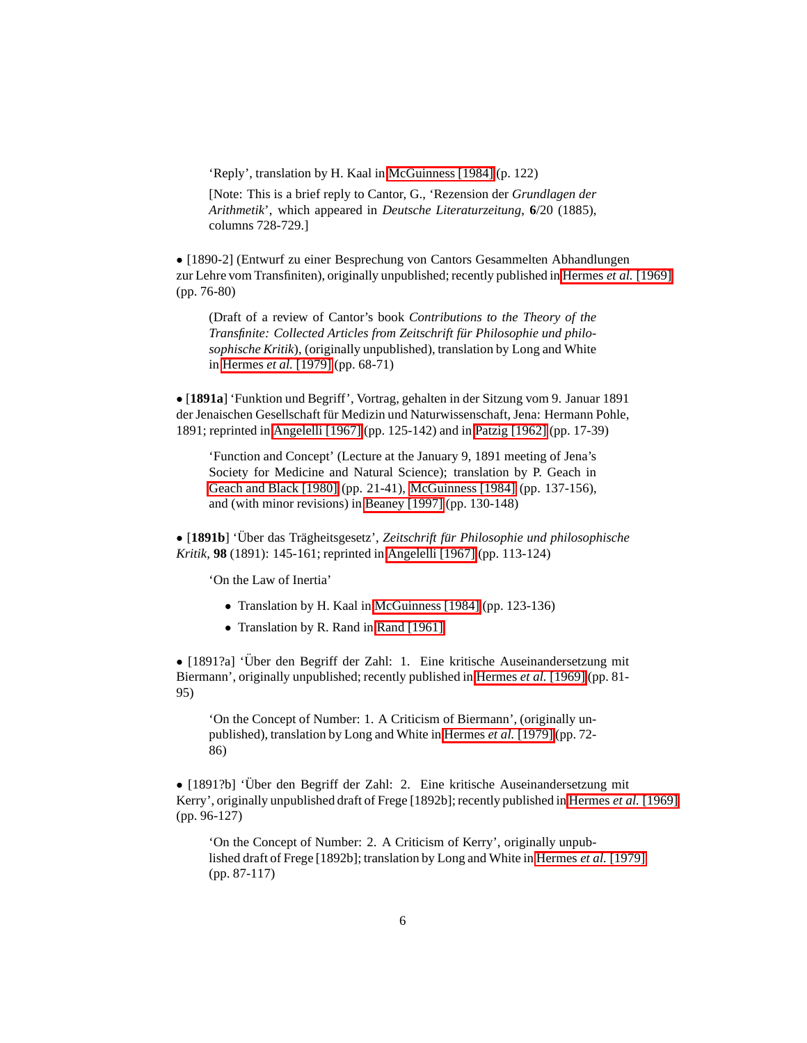'Reply', translation by H. Kaal in [McGuinness \[1984\]](#page-15-3) (p. 122)

[Note: This is a brief reply to Cantor, G., 'Rezension der *Grundlagen der Arithmetik*', which appeared in *Deutsche Literaturzeitung*, **6**/20 (1885), columns 728-729.]

• [1890-2] (Entwurf zu einer Besprechung von Cantors Gesammelten Abhandlungen zur Lehre vom Transfiniten), originally unpublished; recently published in [Hermes](#page-16-0) *et al.* [1969] (pp. 76-80)

(Draft of a review of Cantor's book *Contributions to the Theory of the Transfinite: Collected Articles from Zeitschrift fur Philosophie und philo- ¨ sophische Kritik*), (originally unpublished), translation by Long and White in [Hermes](#page-14-4) *et al.* [1979] (pp. 68-71)

• [**1891a**] 'Funktion und Begriff', Vortrag, gehalten in der Sitzung vom 9. Januar 1891 der Jenaischen Gesellschaft für Medizin und Naturwissenschaft, Jena: Hermann Pohle, 1891; reprinted in [Angelelli \[1967\]](#page-15-0) (pp. 125-142) and in [Patzig \[1962\]](#page-16-3) (pp. 17-39)

'Function and Concept' (Lecture at the January 9, 1891 meeting of Jena's Society for Medicine and Natural Science); translation by P. Geach in [Geach and Black \[1980\]](#page-14-3) (pp. 21-41), [McGuinness \[1984\]](#page-15-3) (pp. 137-156), and (with minor revisions) in [Beaney \[1997\]](#page-13-1) (pp. 130-148)

• [1891b] 'Über das Trägheitsgesetz', *Zeitschrift für Philosophie und philosophische Kritik*, **98** (1891): 145-161; reprinted in [Angelelli \[1967\]](#page-15-0) (pp. 113-124)

'On the Law of Inertia'

- Translation by H. Kaal in [McGuinness \[1984\]](#page-15-3) (pp. 123-136)
- Translation by R. Rand in [Rand \[1961\]](#page-15-5)

• [1891?a] 'Über den Begriff der Zahl: 1. Eine kritische Auseinandersetzung mit Biermann', originally unpublished; recently published in [Hermes](#page-16-0) *et al.* [1969] (pp. 81- 95)

'On the Concept of Number: 1. A Criticism of Biermann', (originally unpublished), translation by Long and White in [Hermes](#page-14-4) *et al.* [1979] (pp. 72- 86)

• [1891?b] 'Über den Begriff der Zahl: 2. Eine kritische Auseinandersetzung mit Kerry', originally unpublished draft of Frege [1892b]; recently published in [Hermes](#page-16-0) *et al.* [1969] (pp. 96-127)

'On the Concept of Number: 2. A Criticism of Kerry', originally unpublished draft of Frege [1892b]; translation by Long and White in [Hermes](#page-14-4) *et al.* [1979] (pp. 87-117)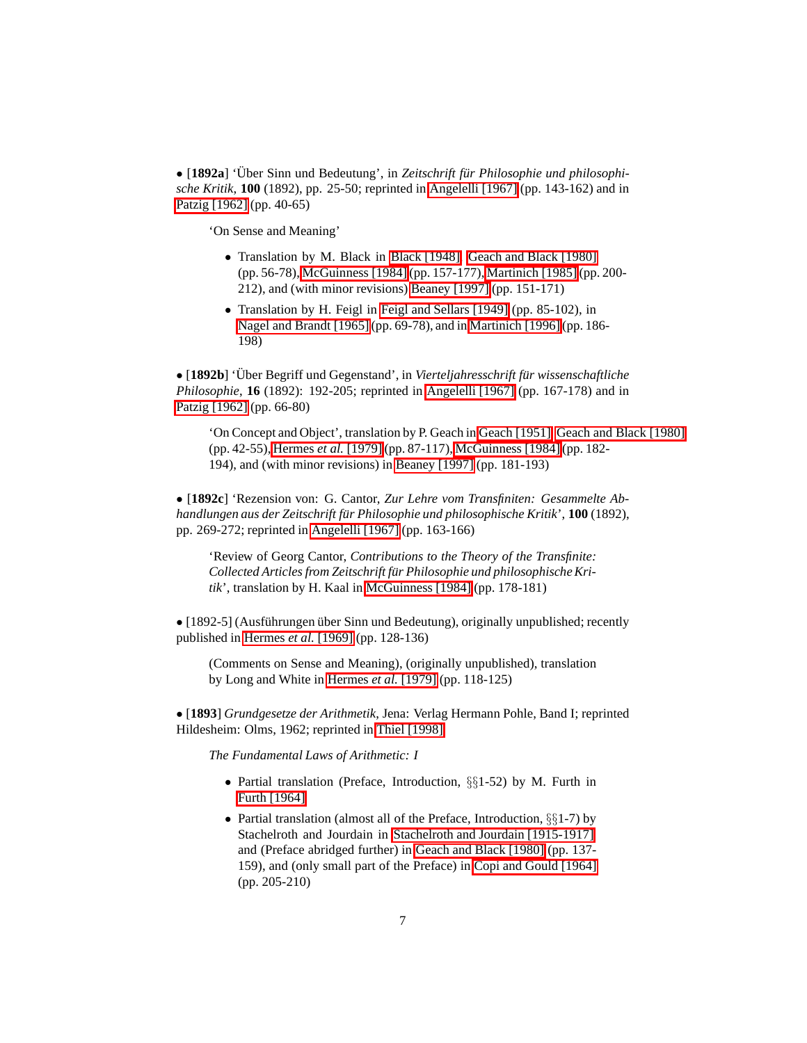• [1892a] 'Über Sinn und Bedeutung', in Zeitschrift für Philosophie und philosophi*sche Kritik*, **100** (1892), pp. 25-50; reprinted in [Angelelli \[1967\]](#page-15-0) (pp. 143-162) and in [Patzig \[1962\]](#page-16-3) (pp. 40-65)

'On Sense and Meaning'

- Translation by M. Black in [Black \[1948\],](#page-13-6) [Geach and Black \[1980\]](#page-14-3) (pp. 56-78), [McGuinness \[1984\]](#page-15-3) (pp. 157-177), [Martinich \[1985\]](#page-14-7) (pp. 200- 212), and (with minor revisions) [Beaney \[1997\]](#page-13-1) (pp. 151-171)
- Translation by H. Feigl in [Feigl and Sellars \[1949\]](#page-14-8) (pp. 85-102), in [Nagel and Brandt \[1965\]](#page-15-6) (pp. 69-78), and in [Martinich \[1996\]](#page-14-9)(pp. 186- 198)

• [1892b] 'Über Begriff und Gegenstand', in Vierteljahresschrift für wissenschaftliche *Philosophie*, **16** (1892): 192-205; reprinted in [Angelelli \[1967\]](#page-15-0) (pp. 167-178) and in [Patzig \[1962\]](#page-16-3) (pp. 66-80)

'On Concept and Object', translation by P. Geach in [Geach \[1951\],](#page-14-10) [Geach and Black \[1980\]](#page-14-3) (pp. 42-55), [Hermes](#page-14-4) *et al.* [1979] (pp. 87-117), [McGuinness \[1984\]](#page-15-3) (pp. 182- 194), and (with minor revisions) in [Beaney \[1997\]](#page-13-1) (pp. 181-193)

• [**1892c**] 'Rezension von: G. Cantor, *Zur Lehre vom Transfiniten: Gesammelte Abhandlungen aus der Zeitschrift fur Philosophie und philosophische Kritik ¨* ', **100** (1892), pp. 269-272; reprinted in [Angelelli \[1967\]](#page-15-0) (pp. 163-166)

'Review of Georg Cantor, *Contributions to the Theory of the Transfinite: Collected Articles from Zeitschrift fur Philosophie und philosophische Kri- ¨ tik*', translation by H. Kaal in [McGuinness \[1984\]](#page-15-3) (pp. 178-181)

• [1892-5] (Ausführungen über Sinn und Bedeutung), originally unpublished; recently published in [Hermes](#page-16-0) *et al.* [1969] (pp. 128-136)

(Comments on Sense and Meaning), (originally unpublished), translation by Long and White in [Hermes](#page-14-4) *et al.* [1979] (pp. 118-125)

<span id="page-6-0"></span>• [**1893**] *Grundgesetze der Arithmetik*, Jena: Verlag Hermann Pohle, Band I; reprinted Hildesheim: Olms, 1962; reprinted in [Thiel \[1998\]](#page-16-5)

*The Fundamental Laws of Arithmetic: I*

- Partial translation (Preface, Introduction, §§1-52) by M. Furth in [Furth \[1964\]](#page-14-11)
- Partial translation (almost all of the Preface, Introduction, §§1-7) by Stachelroth and Jourdain in [Stachelroth and Jourdain \[1915-1917\],](#page-15-7) and (Preface abridged further) in [Geach and Black \[1980\]](#page-14-3) (pp. 137- 159), and (only small part of the Preface) in [Copi and Gould \[1964\]](#page-13-7) (pp. 205-210)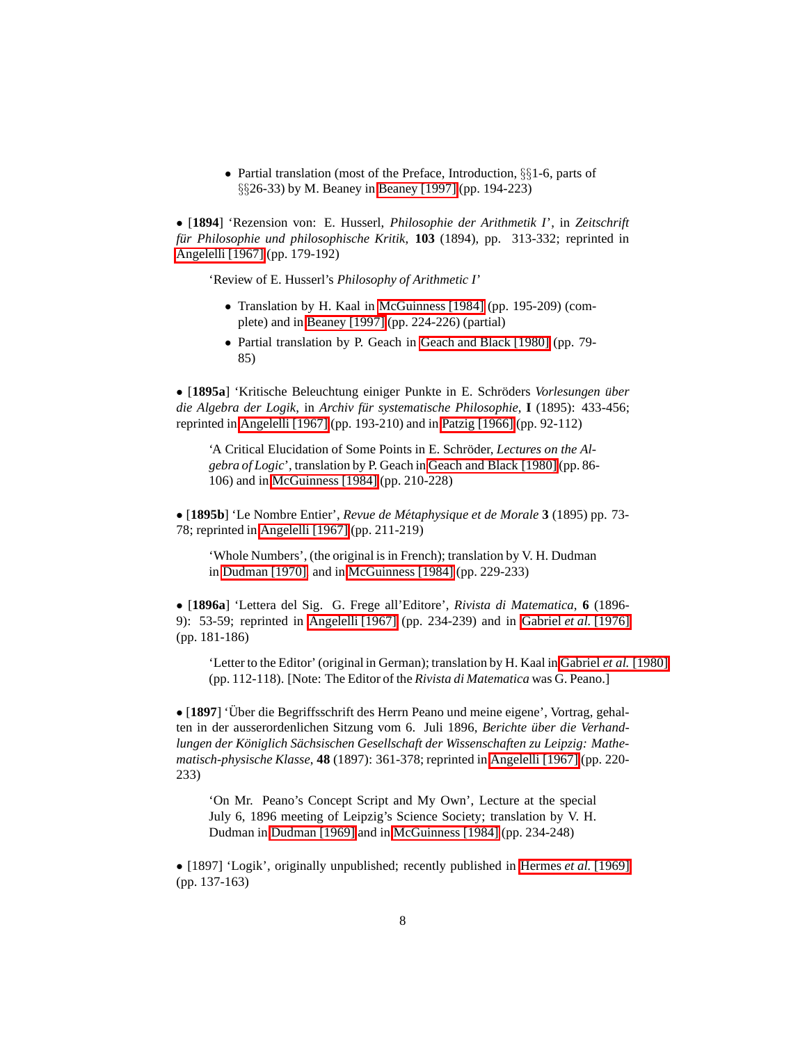• Partial translation (most of the Preface, Introduction, §§1-6, parts of §§26-33) by M. Beaney in [Beaney \[1997\]](#page-13-1) (pp. 194-223)

• [**1894**] 'Rezension von: E. Husserl, *Philosophie der Arithmetik I*', in *Zeitschrift für Philosophie und philosophische Kritik*, 103 (1894), pp. 313-332; reprinted in [Angelelli \[1967\]](#page-15-0) (pp. 179-192)

'Review of E. Husserl's *Philosophy of Arithmetic I*'

- Translation by H. Kaal in [McGuinness \[1984\]](#page-15-3) (pp. 195-209) (complete) and in [Beaney \[1997\]](#page-13-1) (pp. 224-226) (partial)
- Partial translation by P. Geach in [Geach and Black \[1980\]](#page-14-3) (pp. 79- 85)

• [1895a] 'Kritische Beleuchtung einiger Punkte in E. Schröders *Vorlesungen über die Algebra der Logik*, in *Archiv für systematische Philosophie*, I (1895): 433-456; reprinted in [Angelelli \[1967\]](#page-15-0) (pp. 193-210) and in [Patzig \[1966\]](#page-16-6) (pp. 92-112)

'A Critical Elucidation of Some Points in E. Schröder, *Lectures on the Algebra of Logic*', translation by P. Geach in [Geach and Black \[1980\]](#page-14-3) (pp. 86- 106) and in [McGuinness \[1984\]](#page-15-3) (pp. 210-228)

• [**1895b**] 'Le Nombre Entier', *Revue de Metaphysique et de Morale ´* **3** (1895) pp. 73- 78; reprinted in [Angelelli \[1967\]](#page-15-0) (pp. 211-219)

'Whole Numbers', (the original is in French); translation by V. H. Dudman in [Dudman \[1970\],](#page-13-8) and in [McGuinness \[1984\]](#page-15-3) (pp. 229-233)

• [**1896a**] 'Lettera del Sig. G. Frege all'Editore', *Rivista di Matematica*, **6** (1896- 9): 53-59; reprinted in [Angelelli \[1967\]](#page-15-0) (pp. 234-239) and in [Gabriel](#page-16-1) *et al.* [1976] (pp. 181-186)

'Letter to the Editor' (original in German); translation by H. Kaal in [Gabriel](#page-14-0) *et al.* [1980] (pp. 112-118). [Note: The Editor of the *Rivista di Matematica* was G. Peano.]

• [1897] 'Über die Begriffsschrift des Herrn Peano und meine eigene', Vortrag, gehalten in der ausserordenlichen Sitzung vom 6. Juli 1896, *Berichte uber die Verhand- ¨ lungen der Koniglich S ¨ achsischen Gesellschaft der Wissenschaften zu Leipzig: Ma ¨ thematisch-physische Klasse*, **48** (1897): 361-378; reprinted in [Angelelli \[1967\]](#page-15-0) (pp. 220- 233)

'On Mr. Peano's Concept Script and My Own', Lecture at the special July 6, 1896 meeting of Leipzig's Science Society; translation by V. H. Dudman in [Dudman \[1969\]](#page-13-9) and in [McGuinness \[1984\]](#page-15-3) (pp. 234-248)

• [1897] 'Logik', originally unpublished; recently published in [Hermes](#page-16-0) *et al.* [1969] (pp. 137-163)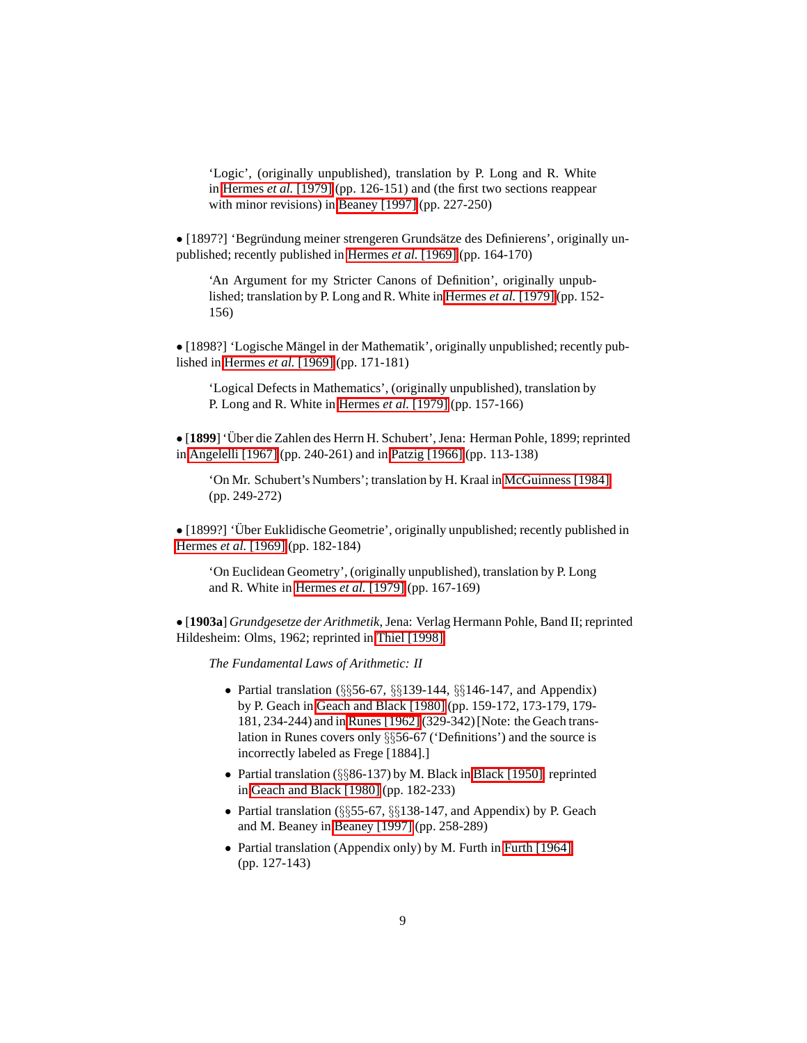'Logic', (originally unpublished), translation by P. Long and R. White in [Hermes](#page-14-4) *et al.* [1979] (pp. 126-151) and (the first two sections reappear with minor revisions) in [Beaney \[1997\]](#page-13-1) (pp. 227-250)

• [1897?] 'Begründung meiner strengeren Grundsätze des Definierens', originally unpublished; recently published in [Hermes](#page-16-0) *et al.* [1969] (pp. 164-170)

'An Argument for my Stricter Canons of Definition', originally unpublished; translation by P. Long and R. White in [Hermes](#page-14-4) *et al.* [1979] (pp. 152- 156)

• [1898?] 'Logische Mängel in der Mathematik', originally unpublished; recently published in [Hermes](#page-16-0) *et al.* [1969] (pp. 171-181)

'Logical Defects in Mathematics', (originally unpublished), translation by P. Long and R. White in [Hermes](#page-14-4) *et al.* [1979] (pp. 157-166)

• [1899] 'Über die Zahlen des Herrn H. Schubert', Jena: Herman Pohle, 1899; reprinted in [Angelelli \[1967\]](#page-15-0) (pp. 240-261) and in [Patzig \[1966\]](#page-16-6) (pp. 113-138)

'On Mr. Schubert's Numbers'; translation by H. Kraal in [McGuinness \[1984\]](#page-15-3) (pp. 249-272)

• [1899?] 'Über Euklidische Geometrie', originally unpublished; recently published in [Hermes](#page-16-0) *et al.* [1969] (pp. 182-184)

'On Euclidean Geometry', (originally unpublished), translation by P. Long and R. White in [Hermes](#page-14-4) *et al.* [1979] (pp. 167-169)

<span id="page-8-0"></span>• [**1903a**] *Grundgesetze der Arithmetik*, Jena: Verlag Hermann Pohle, Band II; reprinted Hildesheim: Olms, 1962; reprinted in [Thiel \[1998\]](#page-16-5)

*The Fundamental Laws of Arithmetic: II*

- Partial translation  $(\S_{\S}^656-67, \S_{\S}^6139-144, \S_{\S}^6146-147, \S_{\S}^6146)$ by P. Geach in [Geach and Black \[1980\]](#page-14-3) (pp. 159-172, 173-179, 179- 181, 234-244) and in [Runes \[1962\]](#page-15-8) (329-342) [Note: the Geach translation in Runes covers only §§56-67 ('Definitions') and the source is incorrectly labeled as Frege [1884].]
- Partial translation (§§86-137) by M. Black in [Black \[1950\];](#page-13-10) reprinted in [Geach and Black \[1980\]](#page-14-3) (pp. 182-233)
- Partial translation (§§55-67, §§138-147, and Appendix) by P. Geach and M. Beaney in [Beaney \[1997\]](#page-13-1) (pp. 258-289)
- Partial translation (Appendix only) by M. Furth in [Furth \[1964\]](#page-14-11) (pp. 127-143)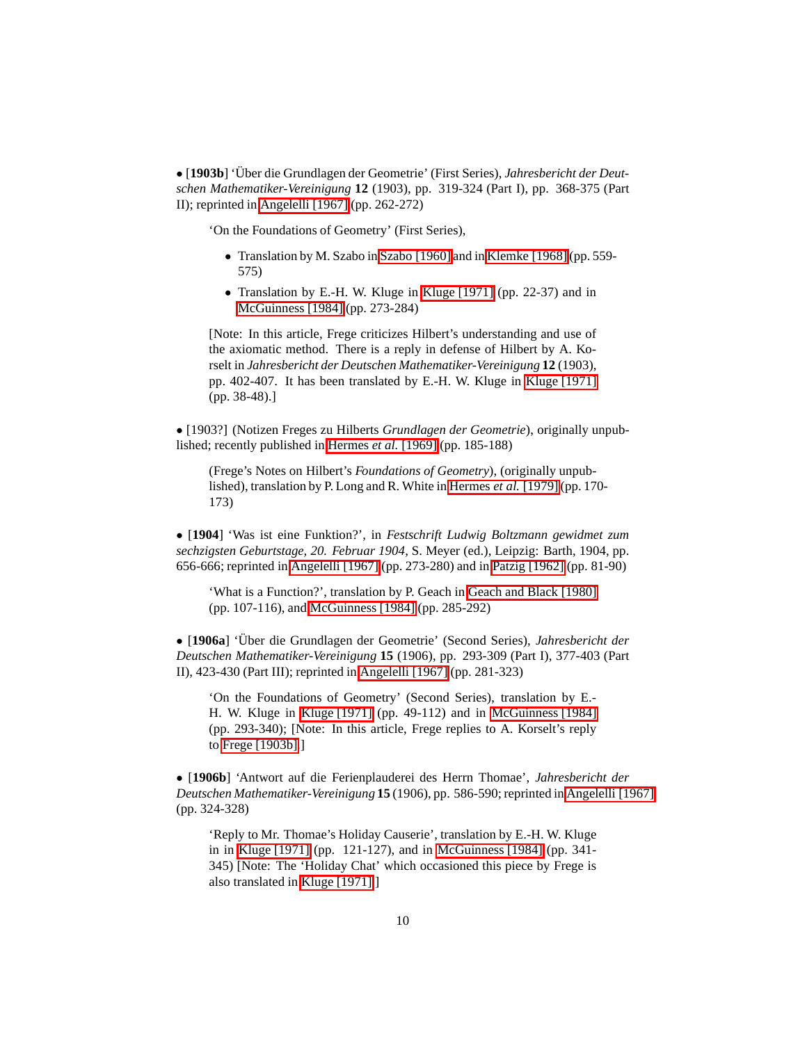<span id="page-9-0"></span>• [1903b] 'Über die Grundlagen der Geometrie' (First Series), Jahresbericht der Deut*schen Mathematiker-Vereinigung* **12** (1903), pp. 319-324 (Part I), pp. 368-375 (Part II); reprinted in [Angelelli \[1967\]](#page-15-0) (pp. 262-272)

'On the Foundations of Geometry' (First Series),

- Translation by M. Szabo in [Szabo \[1960\]](#page-15-9) and in [Klemke \[1968\]](#page-14-12) (pp. 559- 575)
- Translation by E.-H. W. Kluge in [Kluge \[1971\]](#page-14-1) (pp. 22-37) and in [McGuinness \[1984\]](#page-15-3) (pp. 273-284)

[Note: In this article, Frege criticizes Hilbert's understanding and use of the axiomatic method. There is a reply in defense of Hilbert by A. Korselt in *Jahresbericht der Deutschen Mathematiker-Vereinigung* **12** (1903), pp. 402-407. It has been translated by E.-H. W. Kluge in Kluge [\[1971\]](#page-14-1) (pp. 38-48).]

• [1903?] (Notizen Freges zu Hilberts *Grundlagen der Geometrie*), originally unpublished; recently published in [Hermes](#page-16-0) *et al.* [1969] (pp. 185-188)

(Frege's Notes on Hilbert's *Foundations of Geometry*), (originally unpublished), translation by P. Long and R. White in [Hermes](#page-14-4) *et al.* [1979] (pp. 170- 173)

• [**1904**] 'Was ist eine Funktion?', in *Festschrift Ludwig Boltzmann gewidmet zum sechzigsten Geburtstage, 20. Februar 1904*, S. Meyer (ed.), Leipzig: Barth, 1904, pp. 656-666; reprinted in [Angelelli \[1967\]](#page-15-0) (pp. 273-280) and in [Patzig \[1962\]](#page-16-3) (pp. 81-90)

'What is a Function?', translation by P. Geach in [Geach and Black \[1980\]](#page-14-3) (pp. 107-116), and [McGuinness \[1984\]](#page-15-3) (pp. 285-292)

• [1906a] 'Über die Grundlagen der Geometrie' (Second Series), Jahresbericht der *Deutschen Mathematiker-Vereinigung* **15** (1906), pp. 293-309 (Part I), 377-403 (Part II), 423-430 (Part III); reprinted in [Angelelli \[1967\]](#page-15-0) (pp. 281-323)

'On the Foundations of Geometry' (Second Series), translation by E.- H. W. Kluge in [Kluge \[1971\]](#page-14-1) (pp. 49-112) and in [McGuinness \[1984\]](#page-15-3) (pp. 293-340); [Note: In this article, Frege replies to A. Korselt's reply to [Frege \[1903b\].](#page-9-0)]

• [**1906b**] 'Antwort auf die Ferienplauderei des Herrn Thomae', *Jahresbericht der Deutschen Mathematiker-Vereinigung* **15** (1906), pp. 586-590; reprinted in [Angelelli \[1967\]](#page-15-0) (pp. 324-328)

'Reply to Mr. Thomae's Holiday Causerie', translation by E.-H. W. Kluge in in [Kluge \[1971\]](#page-14-1) (pp. 121-127), and in [McGuinness \[1984\]](#page-15-3) (pp. 341- 345) [Note: The 'Holiday Chat' which occasioned this piece by Frege is also translated in [Kluge \[1971\].](#page-14-1)]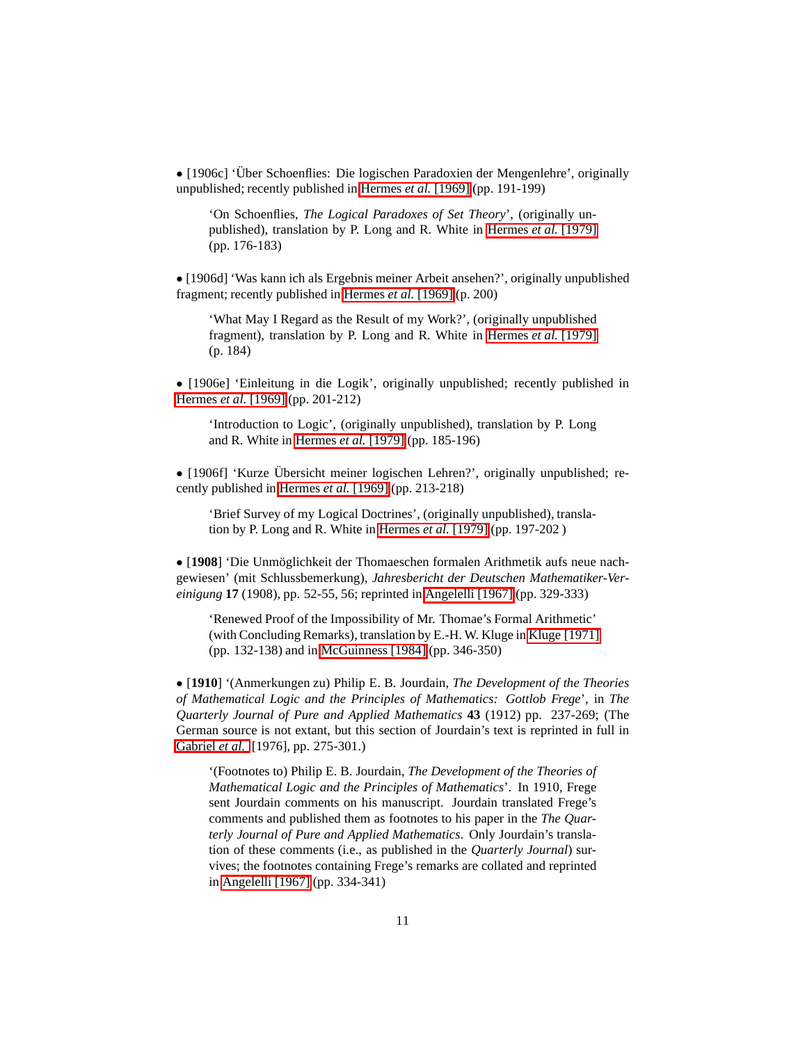• [1906c] 'Über Schoenflies: Die logischen Paradoxien der Mengenlehre', originally unpublished; recently published in [Hermes](#page-16-0) *et al.* [1969] (pp. 191-199)

'On Schoenflies, *The Logical Paradoxes of Set Theory*', (originally unpublished), translation by P. Long and R. White in [Hermes](#page-14-4) *et al.* [1979] (pp. 176-183)

• [1906d] 'Was kann ich als Ergebnis meiner Arbeit ansehen?', originally unpublished fragment; recently published in [Hermes](#page-16-0) *et al.* [1969] (p. 200)

'What May I Regard as the Result of my Work?', (originally unpublished fragment), translation by P. Long and R. White in [Hermes](#page-14-4) *et al.* [1979] (p. 184)

• [1906e] 'Einleitung in die Logik', originally unpublished; recently published in [Hermes](#page-16-0) *et al.* [1969] (pp. 201-212)

'Introduction to Logic', (originally unpublished), translation by P. Long and R. White in [Hermes](#page-14-4) *et al.* [1979] (pp. 185-196)

•  $[1906f]$  'Kurze Übersicht meiner logischen Lehren?', originally unpublished; recently published in [Hermes](#page-16-0) *et al.* [1969] (pp. 213-218)

'Brief Survey of my Logical Doctrines', (originally unpublished), translation by P. Long and R. White in [Hermes](#page-14-4) *et al.* [1979] (pp. 197-202 )

• [1908] 'Die Unmöglichkeit der Thomaeschen formalen Arithmetik aufs neue nachgewiesen' (mit Schlussbemerkung), *Jahresbericht der Deutschen Mathematiker-Vereinigung* **17** (1908), pp. 52-55, 56; reprinted in [Angelelli \[1967\]](#page-15-0) (pp. 329-333)

'Renewed Proof of the Impossibility of Mr. Thomae's Formal Arithmetic' (with Concluding Remarks), translation by E.-H. W. Kluge in [Kluge \[1971\]](#page-14-1) (pp. 132-138) and in [McGuinness \[1984\]](#page-15-3) (pp. 346-350)

<span id="page-10-0"></span>• [**1910**] '(Anmerkungen zu) Philip E. B. Jourdain, *The Development of the Theories of Mathematical Logic and the Principles of Mathematics: Gottlob Frege*', in *The Quarterly Journal of Pure and Applied Mathematics* **43** (1912) pp. 237-269; (The German source is not extant, but this section of Jourdain's text is reprinted in full in [Gabriel](#page-16-1) *et al.* [1976], pp. 275-301.)

'(Footnotes to) Philip E. B. Jourdain, *The Development of the Theories of Mathematical Logic and the Principles of Mathematics*'. In 1910, Frege sent Jourdain comments on his manuscript. Jourdain translated Frege's comments and published them as footnotes to his paper in the *The Quarterly Journal of Pure and Applied Mathematics*. Only Jourdain's translation of these comments (i.e., as published in the *Quarterly Journal*) survives; the footnotes containing Frege's remarks are collated and reprinted in [Angelelli \[1967\]](#page-13-11) (pp. 334-341)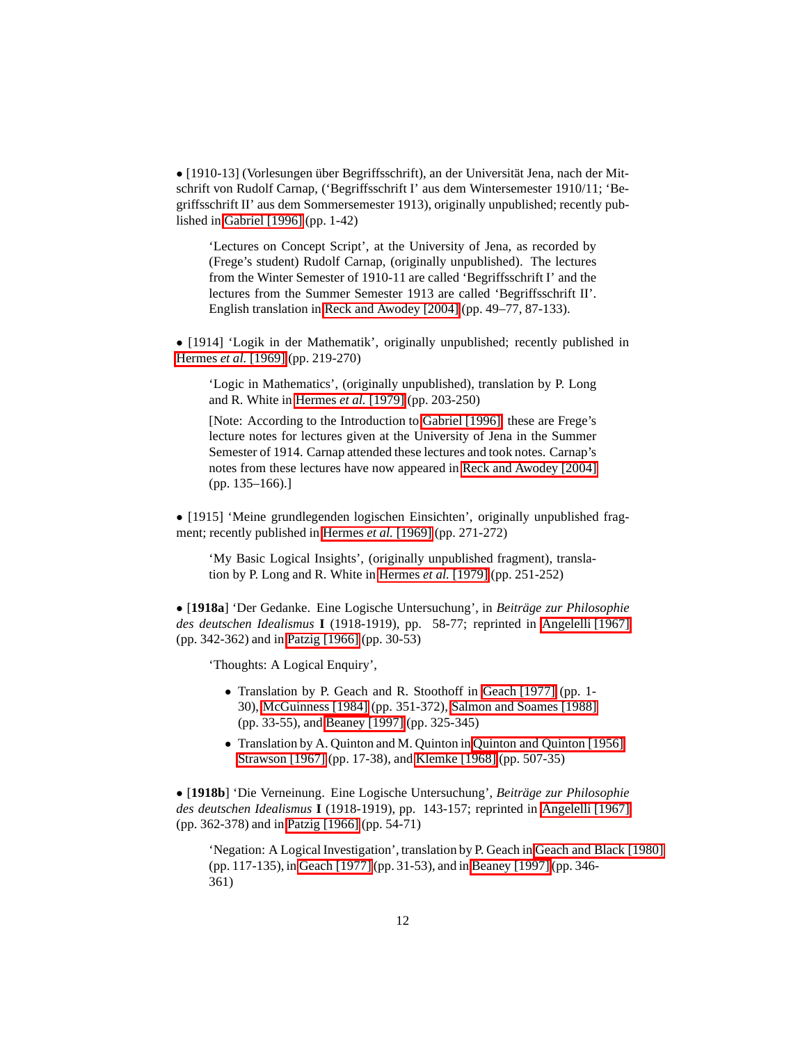• [1910-13] (Vorlesungen über Begriffsschrift), an der Universität Jena, nach der Mitschrift von Rudolf Carnap, ('Begriffsschrift I' aus dem Wintersemester 1910/11; 'Begriffsschrift II' aus dem Sommersemester 1913), originally unpublished; recently published in [Gabriel \[1996\]](#page-16-7) (pp. 1-42)

'Lectures on Concept Script', at the University of Jena, as recorded by (Frege's student) Rudolf Carnap, (originally unpublished). The lectures from the Winter Semester of 1910-11 are called 'Begriffsschrift I' and the lectures from the Summer Semester 1913 are called 'Begriffsschrift II'. English translation in [Reck and Awodey \[2004\]](#page-15-10) (pp. 49–77, 87-133).

• [1914] 'Logik in der Mathematik', originally unpublished; recently published in [Hermes](#page-16-0) *et al.* [1969] (pp. 219-270)

'Logic in Mathematics', (originally unpublished), translation by P. Long and R. White in [Hermes](#page-14-4) *et al.* [1979] (pp. 203-250)

[Note: According to the Introduction to [Gabriel \[1996\],](#page-16-7) these are Frege's lecture notes for lectures given at the University of Jena in the Summer Semester of 1914. Carnap attended these lectures and took notes. Carnap's notes from these lectures have now appeared in [Reck and Awodey \[2004\]](#page-15-10) (pp. 135–166).]

• [1915] 'Meine grundlegenden logischen Einsichten', originally unpublished fragment; recently published in [Hermes](#page-16-0) *et al.* [1969] (pp. 271-272)

'My Basic Logical Insights', (originally unpublished fragment), translation by P. Long and R. White in [Hermes](#page-14-4) *et al.* [1979] (pp. 251-252)

• [**1918a**] 'Der Gedanke. Eine Logische Untersuchung', in *Beitrage zur Philosophie ¨ des deutschen Idealismus* **I** (1918-1919), pp. 58-77; reprinted in [Angelelli \[1967\]](#page-15-0) (pp. 342-362) and in [Patzig \[1966\]](#page-16-6) (pp. 30-53)

'Thoughts: A Logical Enquiry',

- Translation by P. Geach and R. Stoothoff in [Geach \[1977\]](#page-14-13) (pp. 1- 30), [McGuinness \[1984\]](#page-15-3) (pp. 351-372), [Salmon and Soames \[1988\]](#page-15-11) (pp. 33-55), and [Beaney \[1997\]](#page-13-1) (pp. 325-345)
- Translation by A. Quinton and M. Quinton in [Quinton and Quinton \[1956\],](#page-15-12) [Strawson \[1967\]](#page-15-13) (pp. 17-38), and [Klemke \[1968\]](#page-14-12) (pp. 507-35)

• [**1918b**] 'Die Verneinung. Eine Logische Untersuchung', *Beitrage zur Philosophie ¨ des deutschen Idealismus* **I** (1918-1919), pp. 143-157; reprinted in [Angelelli \[1967\]](#page-15-0) (pp. 362-378) and in [Patzig \[1966\]](#page-16-6) (pp. 54-71)

'Negation: A Logical Investigation', translation by P. Geach in [Geach and Black \[1980\]](#page-14-3) (pp. 117-135), in [Geach \[1977\]](#page-14-13) (pp. 31-53), and in [Beaney \[1997\]](#page-13-1) (pp. 346- 361)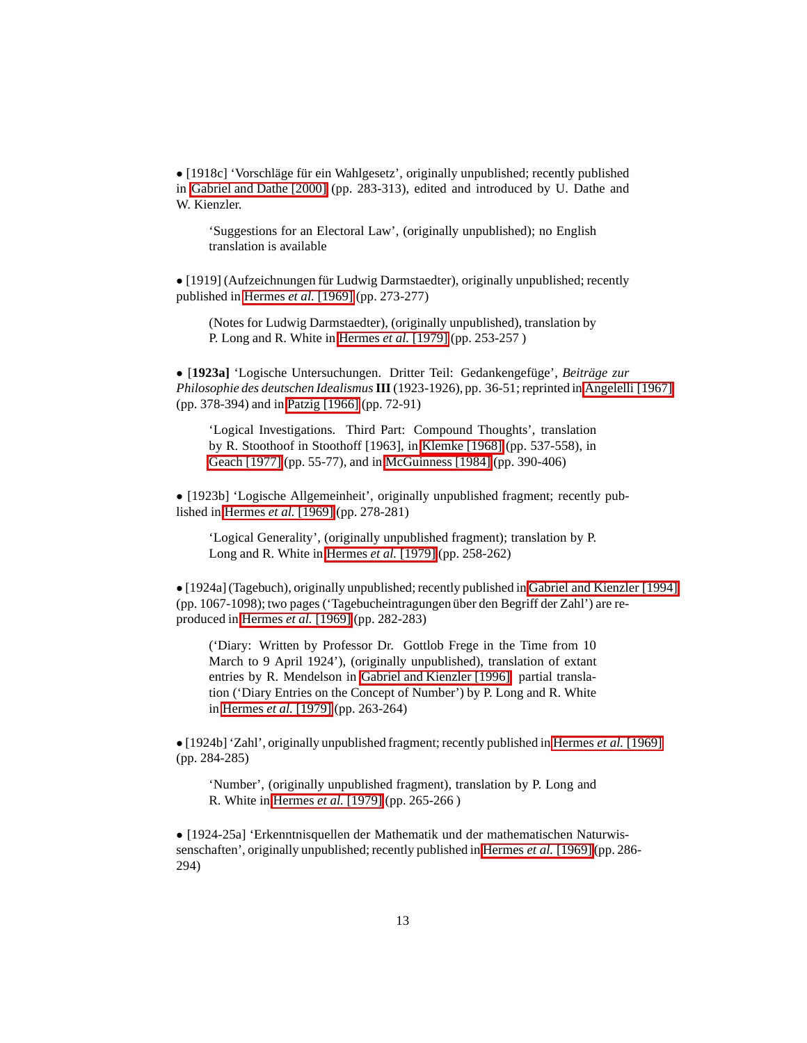• [1918c] 'Vorschläge für ein Wahlgesetz', originally unpublished; recently published in [Gabriel and Dathe \[2000\]](#page-15-14) (pp. 283-313), edited and introduced by U. Dathe and W. Kienzler.

'Suggestions for an Electoral Law', (originally unpublished); no English translation is available

• [1919] (Aufzeichnungen für Ludwig Darmstaedter), originally unpublished; recently published in [Hermes](#page-16-0) *et al.* [1969] (pp. 273-277)

(Notes for Ludwig Darmstaedter), (originally unpublished), translation by P. Long and R. White in [Hermes](#page-14-4) *et al.* [1979] (pp. 253-257 )

• [1923a] 'Logische Untersuchungen. Dritter Teil: Gedankengefüge', Beiträge zur *Philosophie des deutschen Idealismus***III**(1923-1926), pp. 36-51; reprinted in [Angelelli \[1967\]](#page-15-0) (pp. 378-394) and in [Patzig \[1966\]](#page-16-6) (pp. 72-91)

'Logical Investigations. Third Part: Compound Thoughts', translation by R. Stoothoof in Stoothoff [1963], in [Klemke \[1968\]](#page-14-12) (pp. 537-558), in [Geach \[1977\]](#page-14-13) (pp. 55-77), and in [McGuinness \[1984\]](#page-15-3) (pp. 390-406)

• [1923b] 'Logische Allgemeinheit', originally unpublished fragment; recently published in [Hermes](#page-16-0) *et al.* [1969] (pp. 278-281)

'Logical Generality', (originally unpublished fragment); translation by P. Long and R. White in [Hermes](#page-14-4) *et al.* [1979] (pp. 258-262)

• [1924a] (Tagebuch), originally unpublished; recently published in [Gabriel and Kienzler \[1994\]](#page-16-8) (pp. 1067-1098); two pages ('Tagebucheintragungen über den Begriff der Zahl') are reproduced in [Hermes](#page-16-0) *et al.* [1969] (pp. 282-283)

('Diary: Written by Professor Dr. Gottlob Frege in the Time from 10 March to 9 April 1924'), (originally unpublished), translation of extant entries by R. Mendelson in [Gabriel and Kienzler \[1996\];](#page-14-14) partial translation ('Diary Entries on the Concept of Number') by P. Long and R. White in [Hermes](#page-14-4) *et al.* [1979] (pp. 263-264)

• [1924b] 'Zahl', originally unpublished fragment; recently published in [Hermes](#page-16-0) *et al.* [1969] (pp. 284-285)

'Number', (originally unpublished fragment), translation by P. Long and R. White in [Hermes](#page-14-4) *et al.* [1979] (pp. 265-266 )

• [1924-25a] 'Erkenntnisquellen der Mathematik und der mathematischen Naturwissenschaften', originally unpublished; recently published in [Hermes](#page-16-0) *et al.* [1969] (pp. 286- 294)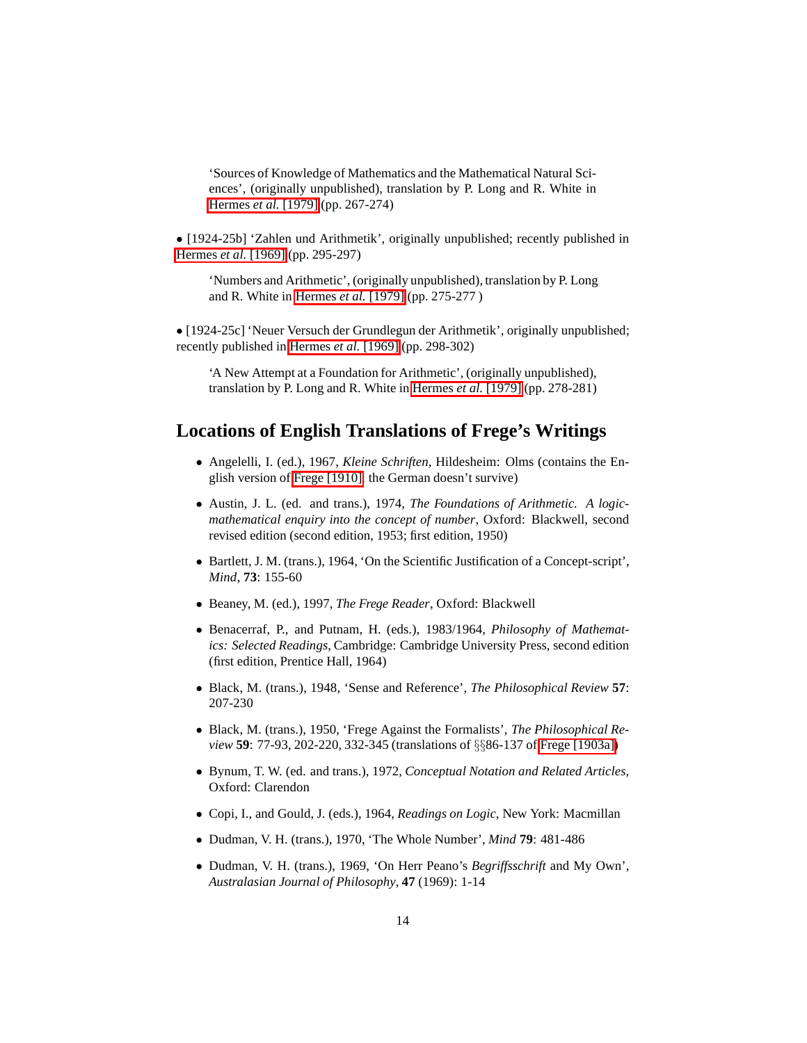'Sources of Knowledge of Mathematics and the Mathematical Natural Sciences', (originally unpublished), translation by P. Long and R. White in [Hermes](#page-14-4) *et al.* [1979] (pp. 267-274)

• [1924-25b] 'Zahlen und Arithmetik', originally unpublished; recently published in [Hermes](#page-16-0) *et al.* [1969] (pp. 295-297)

'Numbers and Arithmetic', (originally unpublished), translation by P. Long and R. White in [Hermes](#page-14-4) *et al.* [1979] (pp. 275-277 )

• [1924-25c] 'Neuer Versuch der Grundlegun der Arithmetik', originally unpublished; recently published in [Hermes](#page-16-0) *et al.* [1969] (pp. 298-302)

'A New Attempt at a Foundation for Arithmetic', (originally unpublished), translation by P. Long and R. White in [Hermes](#page-14-4) *et al.* [1979] (pp. 278-281)

### <span id="page-13-11"></span><span id="page-13-2"></span>**Locations of English Translations of Frege's Writings**

- Angelelli, I. (ed.), 1967, *Kleine Schriften*, Hildesheim: Olms (contains the English version of [Frege \[1910\];](#page-10-0) the German doesn't survive)
- <span id="page-13-4"></span>• Austin, J. L. (ed. and trans.), 1974, *The Foundations of Arithmetic. A logicmathematical enquiry into the concept of number*, Oxford: Blackwell, second revised edition (second edition, 1953; first edition, 1950)
- <span id="page-13-3"></span>• Bartlett, J. M. (trans.), 1964, 'On the Scientific Justification of a Concept-script', *Mind*, **73**: 155-60
- <span id="page-13-1"></span>• Beaney, M. (ed.), 1997, *The Frege Reader*, Oxford: Blackwell
- <span id="page-13-5"></span>• Benacerraf, P., and Putnam, H. (eds.), 1983/1964, *Philosophy of Mathematics: Selected Readings*, Cambridge: Cambridge University Press, second edition (first edition, Prentice Hall, 1964)
- <span id="page-13-6"></span>• Black, M. (trans.), 1948, 'Sense and Reference', *The Philosophical Review* **57**: 207-230
- <span id="page-13-10"></span>• Black, M. (trans.), 1950, 'Frege Against the Formalists', *The Philosophical Review* **59**: 77-93, 202-220, 332-345 (translations of §§86-137 of [Frege \[1903a\]\)](#page-8-0)
- <span id="page-13-0"></span>• Bynum, T. W. (ed. and trans.), 1972, *Conceptual Notation and Related Articles*, Oxford: Clarendon
- <span id="page-13-7"></span>• Copi, I., and Gould, J. (eds.), 1964, *Readings on Logic*, New York: Macmillan
- <span id="page-13-8"></span>• Dudman, V. H. (trans.), 1970, 'The Whole Number', *Mind* **79**: 481-486
- <span id="page-13-9"></span>• Dudman, V. H. (trans.), 1969, 'On Herr Peano's *Begriffsschrift* and My Own', *Australasian Journal of Philosophy*, **47** (1969): 1-14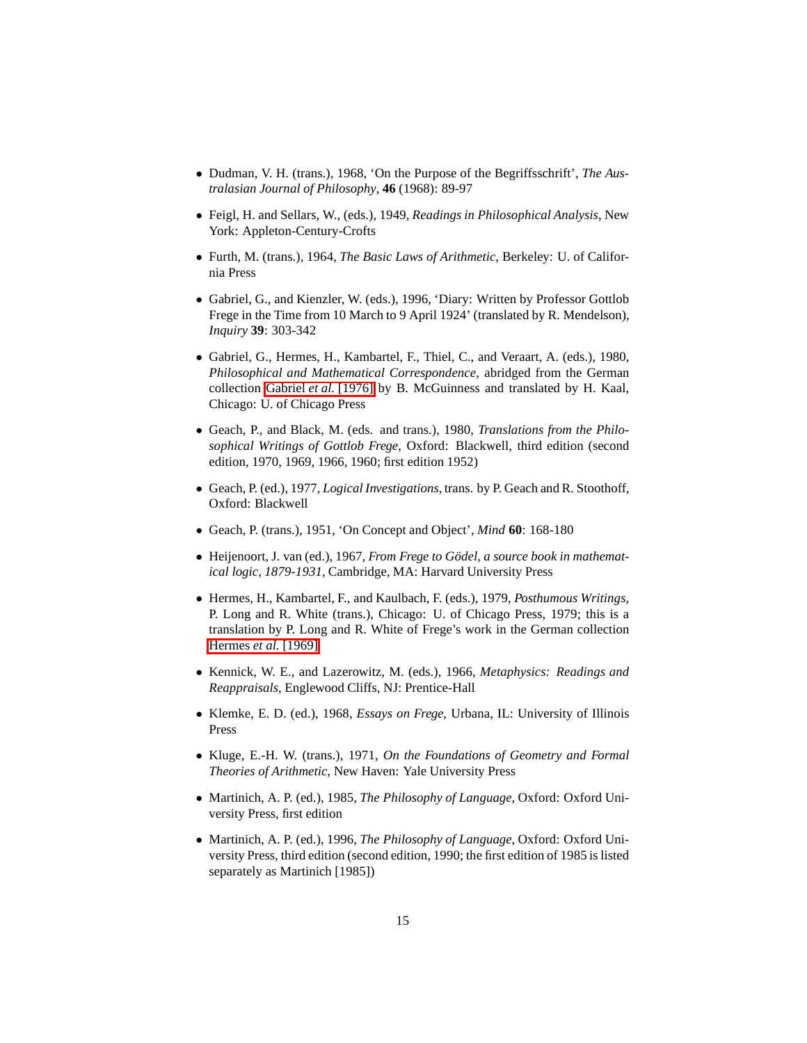- <span id="page-14-5"></span>• Dudman, V. H. (trans.), 1968, 'On the Purpose of the Begriffsschrift', *The Australasian Journal of Philosophy*, **46** (1968): 89-97
- <span id="page-14-8"></span>• Feigl, H. and Sellars, W., (eds.), 1949, *Readings in Philosophical Analysis*, New York: Appleton-Century-Crofts
- <span id="page-14-11"></span>• Furth, M. (trans.), 1964, *The Basic Laws of Arithmetic*, Berkeley: U. of California Press
- <span id="page-14-14"></span>• Gabriel, G., and Kienzler, W. (eds.), 1996, 'Diary: Written by Professor Gottlob Frege in the Time from 10 March to 9 April 1924' (translated by R. Mendelson), *Inquiry* **39**: 303-342
- <span id="page-14-0"></span>• Gabriel, G., Hermes, H., Kambartel, F., Thiel, C., and Veraart, A. (eds.), 1980, *Philosophical and Mathematical Correspondence*, abridged from the German collection [Gabriel](#page-16-1) *et al.* [1976] by B. McGuinness and translated by H. Kaal, Chicago: U. of Chicago Press
- <span id="page-14-3"></span>• Geach, P., and Black, M. (eds. and trans.), 1980, *Translations from the Philosophical Writings of Gottlob Frege*, Oxford: Blackwell, third edition (second edition, 1970, 1969, 1966, 1960; first edition 1952)
- <span id="page-14-13"></span>• Geach, P. (ed.), 1977, *Logical Investigations*, trans. by P. Geach and R. Stoothoff, Oxford: Blackwell
- <span id="page-14-10"></span>• Geach, P. (trans.), 1951, 'On Concept and Object', *Mind* **60**: 168-180
- <span id="page-14-2"></span>• Heijenoort, J. van (ed.), 1967, *From Frege to Godel, a source book in mathemat- ¨ ical logic, 1879-1931*, Cambridge, MA: Harvard University Press
- <span id="page-14-4"></span>• Hermes, H., Kambartel, F., and Kaulbach, F. (eds.), 1979, *Posthumous Writings*, P. Long and R. White (trans.), Chicago: U. of Chicago Press, 1979; this is a translation by P. Long and R. White of Frege's work in the German collection [Hermes](#page-16-0) *et al.* [1969]
- <span id="page-14-6"></span>• Kennick, W. E., and Lazerowitz, M. (eds.), 1966, *Metaphysics: Readings and Reappraisals*, Englewood Cliffs, NJ: Prentice-Hall
- <span id="page-14-12"></span>• Klemke, E. D. (ed.), 1968, *Essays on Frege*, Urbana, IL: University of Illinois Press
- <span id="page-14-1"></span>• Kluge, E.-H. W. (trans.), 1971, *On the Foundations of Geometry and Formal Theories of Arithmetic*, New Haven: Yale University Press
- <span id="page-14-7"></span>• Martinich, A. P. (ed.), 1985, *The Philosophy of Language*, Oxford: Oxford University Press, first edition
- <span id="page-14-9"></span>• Martinich, A. P. (ed.), 1996, *The Philosophy of Language*, Oxford: Oxford University Press, third edition (second edition, 1990; the first edition of 1985 is listed separately as Martinich [1985])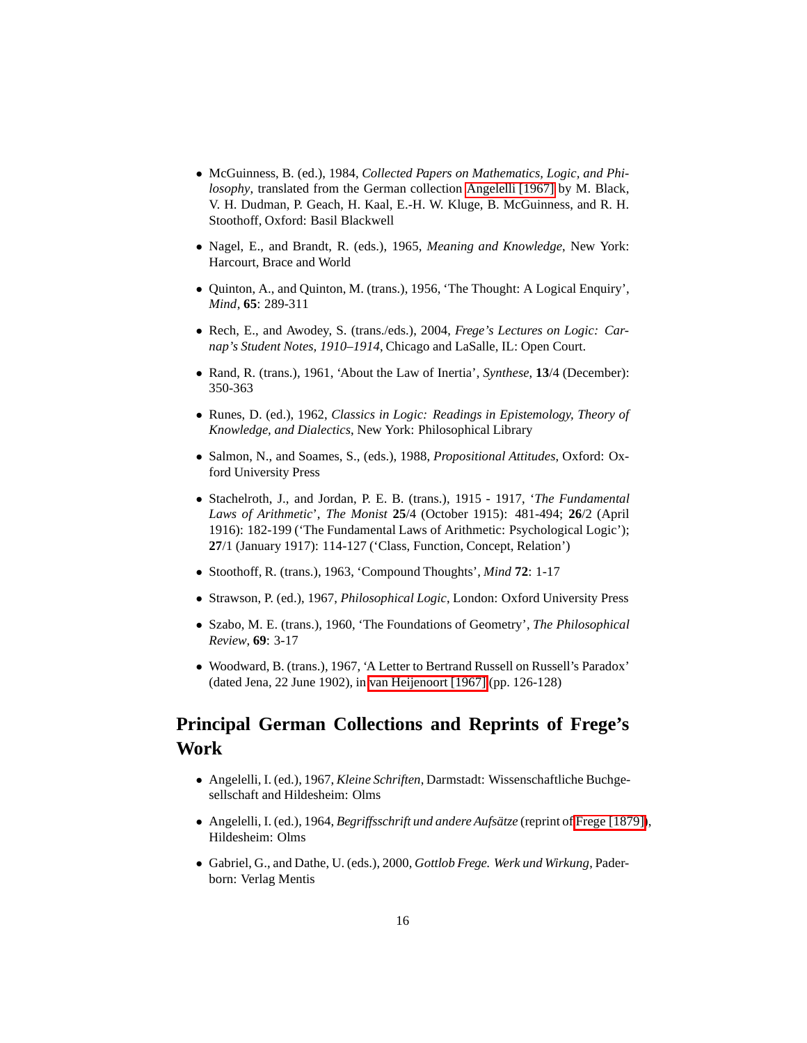- <span id="page-15-3"></span>• McGuinness, B. (ed.), 1984, *Collected Papers on Mathematics, Logic, and Philosophy*, translated from the German collection [Angelelli \[1967\]](#page-15-0) by M. Black, V. H. Dudman, P. Geach, H. Kaal, E.-H. W. Kluge, B. McGuinness, and R. H. Stoothoff, Oxford: Basil Blackwell
- <span id="page-15-6"></span>• Nagel, E., and Brandt, R. (eds.), 1965, *Meaning and Knowledge*, New York: Harcourt, Brace and World
- <span id="page-15-12"></span>• Quinton, A., and Quinton, M. (trans.), 1956, 'The Thought: A Logical Enquiry', *Mind*, **65**: 289-311
- <span id="page-15-10"></span>• Rech, E., and Awodey, S. (trans./eds.), 2004, *Frege's Lectures on Logic: Carnap's Student Notes, 1910–1914*, Chicago and LaSalle, IL: Open Court.
- <span id="page-15-5"></span>• Rand, R. (trans.), 1961, 'About the Law of Inertia', *Synthese*, **13**/4 (December): 350-363
- <span id="page-15-8"></span>• Runes, D. (ed.), 1962, *Classics in Logic: Readings in Epistemology, Theory of Knowledge, and Dialectics*, New York: Philosophical Library
- <span id="page-15-11"></span>• Salmon, N., and Soames, S., (eds.), 1988, *Propositional Attitudes*, Oxford: Oxford University Press
- <span id="page-15-7"></span>• Stachelroth, J., and Jordan, P. E. B. (trans.), 1915 - 1917, '*The Fundamental Laws of Arithmetic*', *The Monist* **25**/4 (October 1915): 481-494; **26**/2 (April 1916): 182-199 ('The Fundamental Laws of Arithmetic: Psychological Logic'); **27**/1 (January 1917): 114-127 ('Class, Function, Concept, Relation')
- Stoothoff, R. (trans.), 1963, 'Compound Thoughts', *Mind* **72**: 1-17
- <span id="page-15-13"></span>• Strawson, P. (ed.), 1967, *Philosophical Logic*, London: Oxford University Press
- <span id="page-15-9"></span>• Szabo, M. E. (trans.), 1960, 'The Foundations of Geometry', *The Philosophical Review*, **69**: 3-17
- Woodward, B. (trans.), 1967, 'A Letter to Bertrand Russell on Russell's Paradox' (dated Jena, 22 June 1902), in [van Heijenoort \[1967\]](#page-14-2) (pp. 126-128)

## <span id="page-15-2"></span><span id="page-15-1"></span>**Principal German Collections and Reprints of Frege's Work**

- <span id="page-15-0"></span>• Angelelli, I. (ed.), 1967, *Kleine Schriften*, Darmstadt: Wissenschaftliche Buchgesellschaft and Hildesheim: Olms
- <span id="page-15-4"></span>• Angelelli, I. (ed.), 1964, *Begriffsschrift und andere Aufsätze* (reprint of [Frege \[1879\]\)](#page-2-0), Hildesheim: Olms
- <span id="page-15-14"></span>• Gabriel, G., and Dathe, U. (eds.), 2000, *Gottlob Frege. Werk und Wirkung*, Paderborn: Verlag Mentis